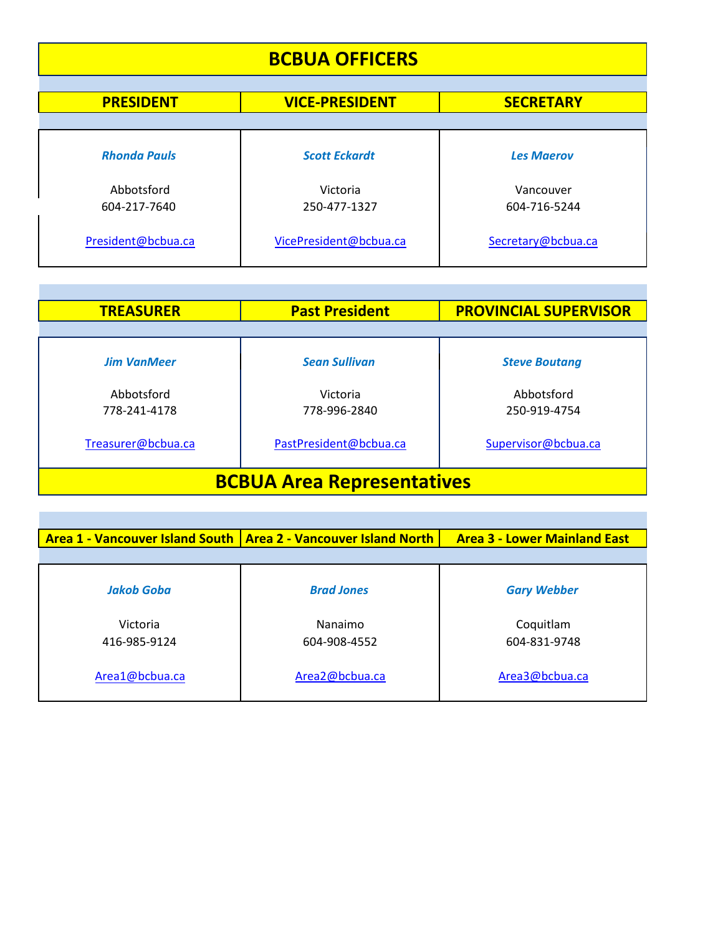| <b>BCBUA OFFICERS</b><br><b>PRESIDENT</b><br><b>VICE-PRESIDENT</b><br><b>SECRETARY</b> |                        |                    |
|----------------------------------------------------------------------------------------|------------------------|--------------------|
|                                                                                        |                        |                    |
| <b>Rhonda Pauls</b>                                                                    | <b>Scott Eckardt</b>   | <b>Les Maerov</b>  |
| Abbotsford                                                                             | Victoria               | Vancouver          |
| 604-217-7640                                                                           | 250-477-1327           | 604-716-5244       |
| President@bcbua.ca                                                                     | VicePresident@bcbua.ca | Secretary@bcbua.ca |

<u> Tanzania</u>

<u>in the community</u>

and the state of the state of the state of the

| <b>TREASURER</b>                  | <b>Past President</b>    | <b>PROVINCIAL SUPERVISOR</b> |
|-----------------------------------|--------------------------|------------------------------|
|                                   |                          |                              |
| <b>Jim VanMeer</b>                | <b>Sean Sullivan</b>     | <b>Steve Boutang</b>         |
| Abbotsford<br>778-241-4178        | Victoria<br>778-996-2840 | Abbotsford<br>250-919-4754   |
| Treasurer@bcbua.ca                | PastPresident@bcbua.ca   | Supervisor@bcbua.ca          |
| <b>BCBUA Area Representatives</b> |                          |                              |

|                | <b>Area 1 - Vancouver Island South   Area 2 - Vancouver Island North</b> | <b>Area 3 - Lower Mainland East</b> |
|----------------|--------------------------------------------------------------------------|-------------------------------------|
|                |                                                                          |                                     |
| Jakob Goba     | <b>Brad Jones</b>                                                        | <b>Gary Webber</b>                  |
| Victoria       | Nanaimo                                                                  | Coquitlam                           |
| 416-985-9124   | 604-908-4552                                                             | 604-831-9748                        |
| Area1@bcbua.ca | Area2@bcbua.ca                                                           | Area3@bcbua.ca                      |
|                |                                                                          |                                     |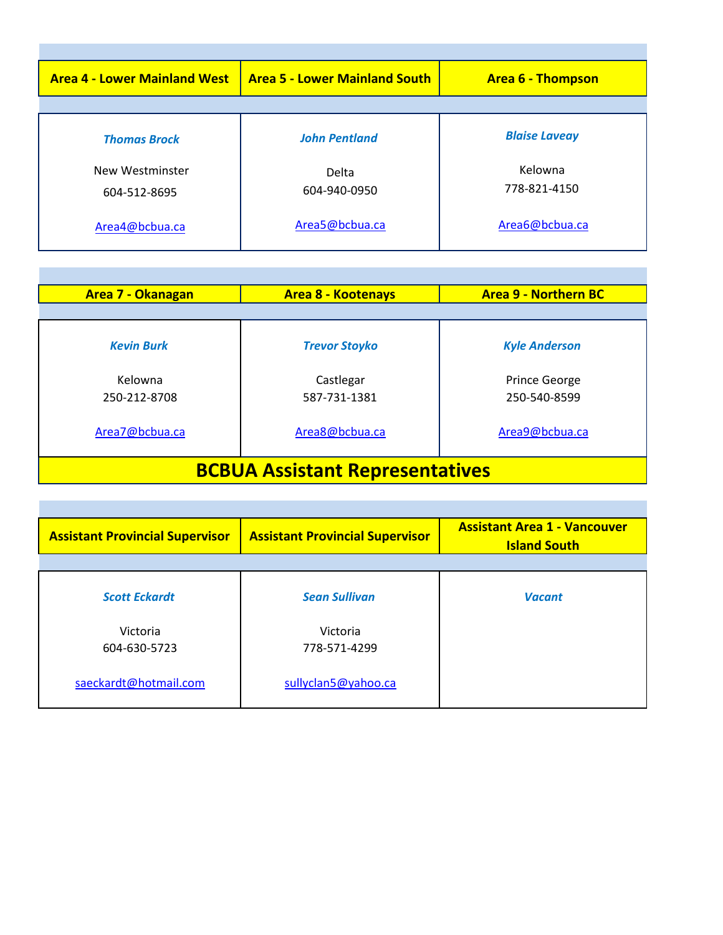| <b>Area 4 - Lower Mainland West</b> | <b>Area 5 - Lower Mainland South</b> | <b>Area 6 - Thompson</b> |
|-------------------------------------|--------------------------------------|--------------------------|
|                                     |                                      |                          |
| <b>Thomas Brock</b>                 | <b>John Pentland</b>                 | <b>Blaise Laveay</b>     |
| New Westminster<br>604-512-8695     | Delta<br>604-940-0950                | Kelowna<br>778-821-4150  |
| Area4@bcbua.ca                      | Area5@bcbua.ca                       | Area6@bcbua.ca           |

| <b>Area 7 - Okanagan</b>               | <b>Area 8 - Kootenays</b> | <b>Area 9 - Northern BC</b>          |
|----------------------------------------|---------------------------|--------------------------------------|
|                                        |                           |                                      |
| <b>Kevin Burk</b>                      | <b>Trevor Stoyko</b>      | <b>Kyle Anderson</b>                 |
| Kelowna<br>250-212-8708                | Castlegar<br>587-731-1381 | <b>Prince George</b><br>250-540-8599 |
| Area7@bcbua.ca                         | Area8@bcbua.ca            | Area9@bcbua.ca                       |
| <b>BCBUA Assistant Representatives</b> |                           |                                      |

| <b>Assistant Provincial Supervisor</b> | <b>Assistant Provincial Supervisor</b> | <b>Assistant Area 1 - Vancouver</b><br><b>Island South</b> |
|----------------------------------------|----------------------------------------|------------------------------------------------------------|
|                                        |                                        |                                                            |
| <b>Scott Eckardt</b>                   | <b>Sean Sullivan</b>                   | <b>Vacant</b>                                              |
| Victoria                               | Victoria                               |                                                            |
| 604-630-5723                           | 778-571-4299                           |                                                            |
| saeckardt@hotmail.com                  | sullyclan5@yahoo.ca                    |                                                            |